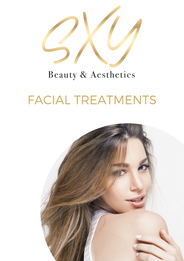

# Beauty & Aesthetics

# FACIAL TREATMENTS

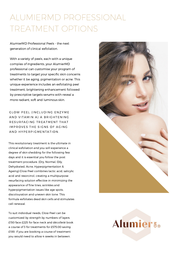# ALUMIERMD PROFESSIONAL TREATMENT OPTIONS

AlumierMD Professional Peels - the next generation of clinical exfoliation.

With a variety of peels, each with a unique complex of ingredients, your AlumierMD professional can customise your program of treatments to target your specific skin concerns whether it be aging, pigmentation or acne. This unique experience includes an exfoliating peel treatment, brightening enhancement followed by prescriptive targets serums with reveal a more radiant, soft and luminous skin.

GLOW PEEL (INCLUDING ENZYME AND VITAMIN A) A BRIGHTENING RESURFACING TREATMENT THAT IMPROVES THE SIGNS OF AGING AND HYPERPIGMENTATION.

This revolutionary treatment is the ultimate in clinical exfoliation and you will experience a degree of skin shedding for the following few days and it is essential you follow the post treatment procedure. (Dry, Normal, Oily, Dehydrated, Acne, Hyperpigmentation & Ageing) Glow Peel combines lactic acid, salicylic acid and resorcinol, creating a multipurpose resurfacing solution effective in minimizing the appearance of fine lines, wrinkles and hyperpigmentation issues like age spots, discolouration and uneven skin tone. This formula exfoliates dead skin cells and stimulates cell renewal.

To suit individual needs, Glow Peel can be customized by strength by numbers of layers. £150 face £225 for face neck and décolleté book a course of 3 for treatments for £575.00 saving £100. If you are booking a course of treatment you would need to allow 4 weeks in between.



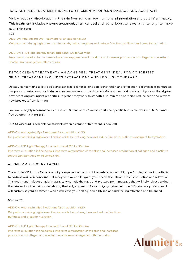### RADIANT PEEL TREATMENT IDEAL FOR PIGMENTATION/SUN DAMAGE AND AGE SPOTS

Visibly reducing discoloration in the skin from sun damage, hormonal pigmentation and post inflammatory. This treatment Includes enzyme treatment, chemical peel and retinol boost to reveal a lighter brighter more even skin tone.

### £75

ADD-ON: Anti-ageing Eye Treatment for an additional £10 Gel pads containing high dose of amino acids, help strengthen and reduce fine lines, puffiness and great for hydration.

ADD-ON: LED Light Therapy for an additional £25 for 30 mins

Improves circulation in the dermis, improves oxygenation of the skin and increases production of collagen and elastin to soothe sun damaged or inflamed skin.

# DETOX CLEAR TREATMENT - AN ACNE PEEL TREATMENT IDEAL FOR CONGESTED SKINS, TREATMENT INCLUDES EXTRACTIONS AND LED LIGHT THERAPY.

Detox Clear contains salicylic acid and lactic acid for excellent pore penetration and exfoliation. Salicylic acid penetrates the pore and exfoliates dead skin cells and excess sebum. Lactic acid exfoliates dead skin cells and hydrates. Eucalyptus provides strong astringent properties. Together, they work to smooth skin, minimise pore size, reduce acne and prevent new breakouts from forming.

We would highly recommend a course of 6-8 treatments 2 weeks apart and specific homecare Course of 6 £510 and 1 free treatment saving £85 .

(A 20% discount is available for students when a course of treatment is booked)

ADD-ON: Anti-ageing Eye Treatment for an additional £10 Gel pads containing high dose of amino acids, help strengthen and reduce fine lines, puffiness and great for hydration.

ADD-ON: LED Light Therapy for an additional £25 for 30 mins Improves circulation in the dermis, improves oxygenation of the skin and increases production of collagen and elastin to soothe sun damaged or inflamed skin.

### A LUMIERMD LUXURY FACIAL

The AlumierMD Luxury Facial is a unique experience that combines relaxation with high performing active ingredients to address your skin concerns. Get ready to relax and let go as you receive the ultimate in customisation and relaxation. This treatment includes a facial massage, lymphatic drainage and pressure point massage that will help release toxins in the skin and soothe pain while relaxing the body and mind. As your highly trained AlumierMD skin care professional I will customise your treatment, which will leave you looking incredibly radiant and feeling refreshed and balanced.

#### 60 min £75

ADD-ON: Anti-ageing Eye Treatment for an additional £10 Gel pads containing high dose of amino acids, help strengthen and reduce fine lines, puffiness and great for hydration.

ADD-ON: LED Light Therapy for an additional £25 for 30 mins Improves circulation in the dermis, improves oxygenation of the skin and increases production of collagen and elastin to soothe sun damaged or inflamed skin.

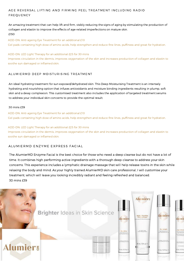# AGE REVERSAL LIFTING AND FIRMING PEEL TREATMENT INCLUDING RADIO **FREQUENCY**

An amazing treatment that can help lift and firm, visibly reducing the signs of aging by stimulating the production of collagen and elastin to improve the effects of age-related imperfections on mature skin. £150

ADD-ON: Anti-ageing Eye Treatment for an additional £10 Gel pads containing high dose of amino acids, help strengthen and reduce fine lines, puffiness and great for hydration.

ADD-ON: LED Light Therapy for an additional £25 for 30 mins Improves circulation in the dermis, improves oxygenation of the skin and increases production of collagen and elastin to soothe sun damaged or inflamed skin.

# ALUMIERMD DEEP MOISTURISING TREATMENT

An ideal hydrating treatment for sun exposed/dehydrated skin. This Deep Moisturising Treatment is an intensely hydrating and nourishing option that infuses antioxidants and moisture binding ingredients resulting in plump, soft skin and a dewy complexion. This customised treatment also includes the application of targeted treatment serums to address your individual skin concerns to provide the optimal result.

### 30 mins £39

ADD-ON: Anti-ageing Eye Treatment for an additional £10 Gel pads containing high dose of amino acids, help strengthen and reduce fine lines, puffiness and great for hydration.

ADD-ON: LED Light Therapy for an additional £25 for 30 mins Improves circulation in the dermis, improves oxygenation of the skin and increases production of collagen and elastin to soothe sun damaged or inflamed skin.

# A LUMIERMD ENZYME EXPRESS FACIAL

The AlumierMD Enzyme Facial is the best choice for those who need a deep cleanse but do not have a lot of time. It combines high performing active ingredients with a thorough deep cleanse to address your skin concerns. This experience includes a lymphatic drainage massage that will help release toxins in the skin while relaxing the body and mind. As your highly trained AlumierMD skin care professional, I will customise your treatment, which will leave you looking incredibly radiant and feeling refreshed and balanced. 30 mins £39

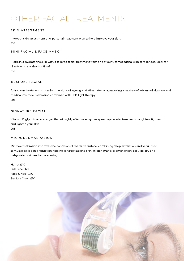# OTHER FACIAL TREATMENTS

### SKIN ASSESSMENT

In-depth skin assessment and personal treatment plan to help improve your skin. £35

#### MINI FACIAL & FACE MASK

IRefresh & hydrate the skin with a tailored facial treatment from one of our Cosmeceutical skin care ranges, ideal for clients who are short of time! £35

#### BESPOKE FACIAL

A fabulous treatment to combat the signs of ageing and stimulate collagen, using a mixture of advanced skincare and medical microdermabrasion combined with LED light therapy. £95

### SIGNATURE FACIAL

Vitamin C, glycolic acid and gentle but highly effective enzymes speed up cellular turnover to brighten, tighten and lighten your skin. £65

### MICRODERMABRASION

Microdermabrasion improves the condition of the skin's surface, combining deep exfoliation and vacuum to stimulate collagen production helping to target ageing skin, stretch marks, pigmentation, cellulite, dry and dehydrated skin and acne scarring.

Hands £40 Full Face £60 Face & Neck £70 Back or Chest £70